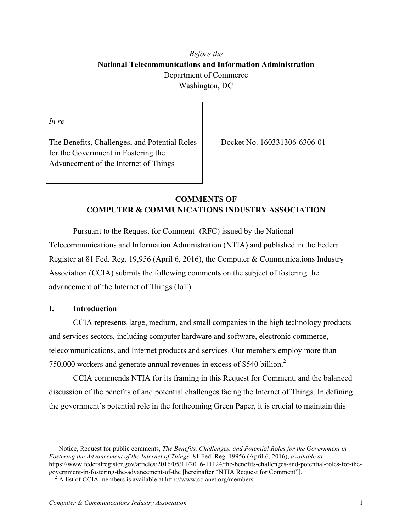# *Before the* **National Telecommunications and Information Administration** Department of Commerce Washington, DC

*In re*

The Benefits, Challenges, and Potential Roles for the Government in Fostering the Advancement of the Internet of Things

Docket No. 160331306-6306-01

# **COMMENTS OF COMPUTER & COMMUNICATIONS INDUSTRY ASSOCIATION**

Pursuant to the Request for Comment<sup>1</sup> (RFC) issued by the National Telecommunications and Information Administration (NTIA) and published in the Federal Register at 81 Fed. Reg. 19,956 (April 6, 2016), the Computer & Communications Industry Association (CCIA) submits the following comments on the subject of fostering the advancement of the Internet of Things (IoT).

### **I. Introduction**

CCIA represents large, medium, and small companies in the high technology products and services sectors, including computer hardware and software, electronic commerce, telecommunications, and Internet products and services. Our members employ more than 750,000 workers and generate annual revenues in excess of \$540 billion.2

CCIA commends NTIA for its framing in this Request for Comment, and the balanced discussion of the benefits of and potential challenges facing the Internet of Things. In defining the government's potential role in the forthcoming Green Paper, it is crucial to maintain this

<sup>1</sup> Notice, Request for public comments, *The Benefits, Challenges, and Potential Roles for the Government in Fostering the Advancement of the Internet of Things,* 81 Fed. Reg. 19956 (April 6, 2016), *available at*  https://www.federalregister.gov/articles/2016/05/11/2016-11124/the-benefits-challenges-and-potential-roles-for-thegovernment-in-fostering-the-advancement-of-the [hereinafter "NTIA Request for Comment"]. <sup>2</sup> A list of CCIA members is available at http://www.ccianet.org/members.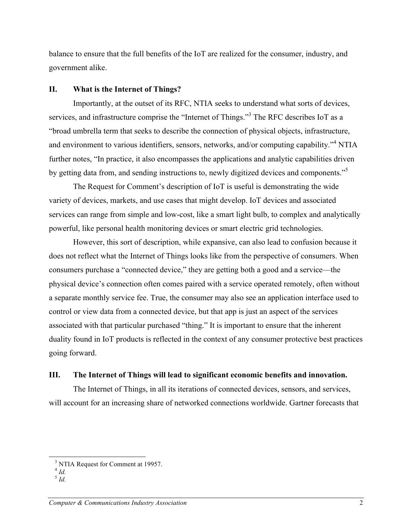balance to ensure that the full benefits of the IoT are realized for the consumer, industry, and government alike.

#### **II. What is the Internet of Things?**

Importantly, at the outset of its RFC, NTIA seeks to understand what sorts of devices, services, and infrastructure comprise the "Internet of Things."<sup>3</sup> The RFC describes IoT as a "broad umbrella term that seeks to describe the connection of physical objects, infrastructure, and environment to various identifiers, sensors, networks, and/or computing capability."<sup>4</sup> NTIA further notes, "In practice, it also encompasses the applications and analytic capabilities driven by getting data from, and sending instructions to, newly digitized devices and components."<sup>5</sup>

The Request for Comment's description of IoT is useful is demonstrating the wide variety of devices, markets, and use cases that might develop. IoT devices and associated services can range from simple and low-cost, like a smart light bulb, to complex and analytically powerful, like personal health monitoring devices or smart electric grid technologies.

However, this sort of description, while expansive, can also lead to confusion because it does not reflect what the Internet of Things looks like from the perspective of consumers. When consumers purchase a "connected device," they are getting both a good and a service—the physical device's connection often comes paired with a service operated remotely, often without a separate monthly service fee. True, the consumer may also see an application interface used to control or view data from a connected device, but that app is just an aspect of the services associated with that particular purchased "thing." It is important to ensure that the inherent duality found in IoT products is reflected in the context of any consumer protective best practices going forward.

#### **III. The Internet of Things will lead to significant economic benefits and innovation.**

The Internet of Things, in all its iterations of connected devices, sensors, and services, will account for an increasing share of networked connections worldwide. Gartner forecasts that

<sup>&</sup>lt;sup>3</sup> NTIA Request for Comment at 19957.

 $4$  *Id.* 

<sup>5</sup> *Id.*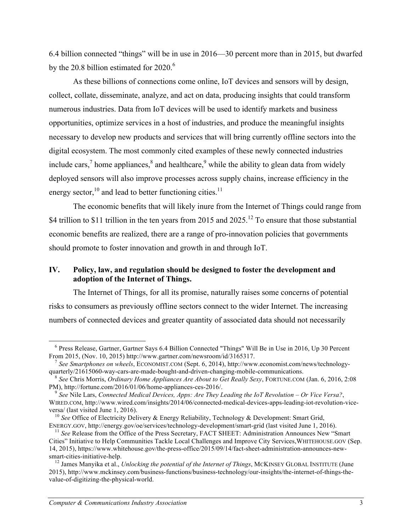6.4 billion connected "things" will be in use in 2016—30 percent more than in 2015, but dwarfed by the 20.8 billion estimated for  $2020$ .<sup>6</sup>

As these billions of connections come online, IoT devices and sensors will by design, collect, collate, disseminate, analyze, and act on data, producing insights that could transform numerous industries. Data from IoT devices will be used to identify markets and business opportunities, optimize services in a host of industries, and produce the meaningful insights necessary to develop new products and services that will bring currently offline sectors into the digital ecosystem. The most commonly cited examples of these newly connected industries include cars,<sup>7</sup> home appliances, $\frac{8}{3}$  and healthcare, $\frac{9}{3}$  while the ability to glean data from widely deployed sensors will also improve processes across supply chains, increase efficiency in the energy sector, $10$  and lead to better functioning cities.<sup>11</sup>

The economic benefits that will likely inure from the Internet of Things could range from \$4 trillion to \$11 trillion in the ten years from 2015 and  $2025$ .<sup>12</sup> To ensure that those substantial economic benefits are realized, there are a range of pro-innovation policies that governments should promote to foster innovation and growth in and through IoT.

# **IV. Policy, law, and regulation should be designed to foster the development and adoption of the Internet of Things.**

The Internet of Things, for all its promise, naturally raises some concerns of potential risks to consumers as previously offline sectors connect to the wider Internet. The increasing numbers of connected devices and greater quantity of associated data should not necessarily

<sup>6</sup> Press Release, Gartner, Gartner Says 6.4 Billion Connected "Things" Will Be in Use in 2016, Up 30 Percent From 2015, (Nov. 10, 2015) http://www.gartner.com/newsroom/id/3165317.

<sup>7</sup> *See Smartphones on wheels*, ECONOMIST.COM (Sept. 6, 2014), http://www.economist.com/news/technology-

<sup>&</sup>lt;sup>8</sup> See Chris Morris, *Ordinary Home Appliances Are About to Get Really Sexy*, FORTUNE.COM (Jan. 6, 2016, 2:08 PM), http://fortune.com/2016/01/06/home-appliances-ces-2016/.

<sup>&</sup>lt;sup>9</sup> See Nile Lars, *Connected Medical Devices, Apps: Are They Leading the IoT Revolution – Or Vice Versa?*, WIRED.COM, http://www.wired.com/insights/2014/06/connected-medical-devices-apps-leading-iot-revolution-vice-<br>versa/ (last visited June 1, 2016).

<sup>&</sup>lt;sup>10</sup> See Office of Electricity Delivery & Energy Reliability, Technology & Development: Smart Grid, ENERGY.GOV, http://energy.gov/oe/services/technology-development/smart-grid (last visited June 1, 2016).

<sup>&</sup>lt;sup>11</sup> See Release from the Office of the Press Secretary, FACT SHEET: Administration Announces New "Smart Cities" Initiative to Help Communities Tackle Local Challenges and Improve City Services,WHITEHOUSE.GOV (Sep. 14, 2015), https://www.whitehouse.gov/the-press-office/2015/09/14/fact-sheet-administration-announces-new-

<sup>&</sup>lt;sup>12</sup> James Manyika et al., *Unlocking the potential of the Internet of Things*, MCKINSEY GLOBAL INSTITUTE (June 2015), http://www.mckinsey.com/business-functions/business-technology/our-insights/the-internet-of-things-thevalue-of-digitizing-the-physical-world.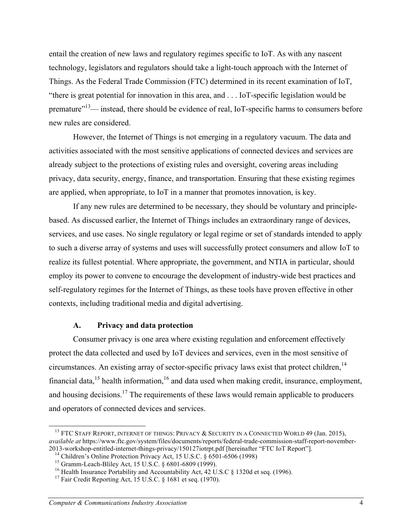entail the creation of new laws and regulatory regimes specific to IoT. As with any nascent technology, legislators and regulators should take a light-touch approach with the Internet of Things. As the Federal Trade Commission (FTC) determined in its recent examination of IoT, "there is great potential for innovation in this area, and . . . IoT-specific legislation would be premature"<sup>13</sup>— instead, there should be evidence of real, IoT-specific harms to consumers before new rules are considered.

However, the Internet of Things is not emerging in a regulatory vacuum. The data and activities associated with the most sensitive applications of connected devices and services are already subject to the protections of existing rules and oversight, covering areas including privacy, data security, energy, finance, and transportation. Ensuring that these existing regimes are applied, when appropriate, to IoT in a manner that promotes innovation, is key.

If any new rules are determined to be necessary, they should be voluntary and principlebased. As discussed earlier, the Internet of Things includes an extraordinary range of devices, services, and use cases. No single regulatory or legal regime or set of standards intended to apply to such a diverse array of systems and uses will successfully protect consumers and allow IoT to realize its fullest potential. Where appropriate, the government, and NTIA in particular, should employ its power to convene to encourage the development of industry-wide best practices and self-regulatory regimes for the Internet of Things, as these tools have proven effective in other contexts, including traditional media and digital advertising.

# **A. Privacy and data protection**

Consumer privacy is one area where existing regulation and enforcement effectively protect the data collected and used by IoT devices and services, even in the most sensitive of circumstances. An existing array of sector-specific privacy laws exist that protect children,  $14$ financial data,  $15$  health information,  $16$  and data used when making credit, insurance, employment, and housing decisions.<sup>17</sup> The requirements of these laws would remain applicable to producers and operators of connected devices and services.

<sup>&</sup>lt;sup>13</sup> FTC STAFF REPORT, INTERNET OF THINGS: PRIVACY & SECURITY IN A CONNECTED WORLD 49 (Jan. 2015), *available at* https://www.ftc.gov/system/files/documents/reports/federal-trade-commission-staff-report-november-

<sup>2013-</sup>workshop-entitled-internet-things-privacy/150127iotrpt.pdf [hereinafter "FTC IoT Report"].<br><sup>14</sup> Children's Online Protection Privacy Act, 15 U.S.C. § 6501-6506 (1998)<br><sup>15</sup> Gramm-Leach-Bliley Act, 15 U.S.C. § 6801-680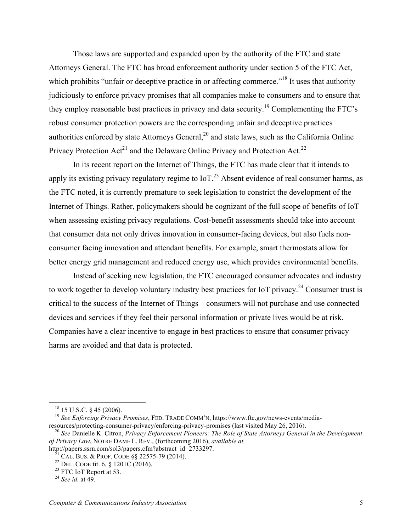Those laws are supported and expanded upon by the authority of the FTC and state Attorneys General. The FTC has broad enforcement authority under section 5 of the FTC Act, which prohibits "unfair or deceptive practice in or affecting commerce."<sup>18</sup> It uses that authority judiciously to enforce privacy promises that all companies make to consumers and to ensure that they employ reasonable best practices in privacy and data security.<sup>19</sup> Complementing the FTC's robust consumer protection powers are the corresponding unfair and deceptive practices authorities enforced by state Attorneys General,  $2<sup>0</sup>$  and state laws, such as the California Online Privacy Protection  $Act^{21}$  and the Delaware Online Privacy and Protection Act.<sup>22</sup>

In its recent report on the Internet of Things, the FTC has made clear that it intends to apply its existing privacy regulatory regime to  $I_0T<sup>23</sup>$  Absent evidence of real consumer harms, as the FTC noted, it is currently premature to seek legislation to constrict the development of the Internet of Things. Rather, policymakers should be cognizant of the full scope of benefits of IoT when assessing existing privacy regulations. Cost-benefit assessments should take into account that consumer data not only drives innovation in consumer-facing devices, but also fuels nonconsumer facing innovation and attendant benefits. For example, smart thermostats allow for better energy grid management and reduced energy use, which provides environmental benefits.

Instead of seeking new legislation, the FTC encouraged consumer advocates and industry to work together to develop voluntary industry best practices for IoT privacy.<sup>24</sup> Consumer trust is critical to the success of the Internet of Things—consumers will not purchase and use connected devices and services if they feel their personal information or private lives would be at risk. Companies have a clear incentive to engage in best practices to ensure that consumer privacy harms are avoided and that data is protected.

<sup>&</sup>lt;sup>18</sup> 15 U.S.C. § 45 (2006).<br><sup>19</sup> *See Enforcing Privacy Promises*, FED. TRADE COMM'N, https://www.ftc.gov/news-events/media-<br>resources/protecting-consumer-privacy/enforcing-privacy-promises (last visited May 26, 2016).

<sup>&</sup>lt;sup>20</sup> See Danielle K. Citron, *Privacy Enforcement Pioneers: The Role of State Attorneys General in the Development of Privacy Law*, NOTRE DAME L. REV., (forthcoming 2016), *available at*

http://papers.ssrn.com/sol3/papers.cfm?abstract\_id=2733297.<br><sup>21</sup> CAL. BUS. & PROF. CODE §§ 22575-79 (2014).<br><sup>22</sup> DEL. CODE tit. 6, § 1201C (2016).<br><sup>23</sup> FTC IoT Report at 53.<br><sup>24</sup> *See id.* at 49.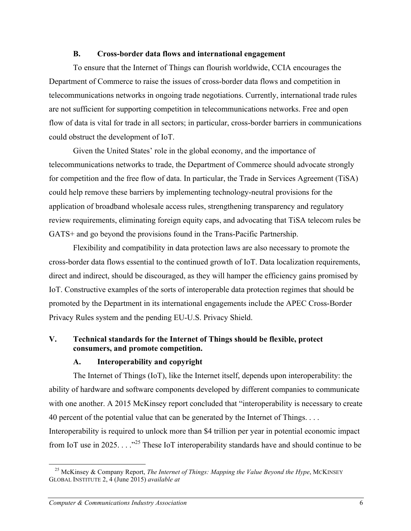## **B. Cross-border data flows and international engagement**

To ensure that the Internet of Things can flourish worldwide, CCIA encourages the Department of Commerce to raise the issues of cross-border data flows and competition in telecommunications networks in ongoing trade negotiations. Currently, international trade rules are not sufficient for supporting competition in telecommunications networks. Free and open flow of data is vital for trade in all sectors; in particular, cross-border barriers in communications could obstruct the development of IoT.

Given the United States' role in the global economy, and the importance of telecommunications networks to trade, the Department of Commerce should advocate strongly for competition and the free flow of data. In particular, the Trade in Services Agreement (TiSA) could help remove these barriers by implementing technology-neutral provisions for the application of broadband wholesale access rules, strengthening transparency and regulatory review requirements, eliminating foreign equity caps, and advocating that TiSA telecom rules be GATS+ and go beyond the provisions found in the Trans-Pacific Partnership.

Flexibility and compatibility in data protection laws are also necessary to promote the cross-border data flows essential to the continued growth of IoT. Data localization requirements, direct and indirect, should be discouraged, as they will hamper the efficiency gains promised by IoT. Constructive examples of the sorts of interoperable data protection regimes that should be promoted by the Department in its international engagements include the APEC Cross-Border Privacy Rules system and the pending EU-U.S. Privacy Shield.

# **V. Technical standards for the Internet of Things should be flexible, protect consumers, and promote competition.**

# **A. Interoperability and copyright**

The Internet of Things (IoT), like the Internet itself, depends upon interoperability: the ability of hardware and software components developed by different companies to communicate with one another. A 2015 McKinsey report concluded that "interoperability is necessary to create 40 percent of the potential value that can be generated by the Internet of Things. . . . Interoperability is required to unlock more than \$4 trillion per year in potential economic impact from IoT use in 2025. . . ."<sup>25</sup> These IoT interoperability standards have and should continue to be

<sup>&</sup>lt;sup>25</sup> McKinsey & Company Report, *The Internet of Things: Mapping the Value Beyond the Hype*, MCKINSEY GLOBAL INSTITUTE 2, 4 (June 2015) *available at*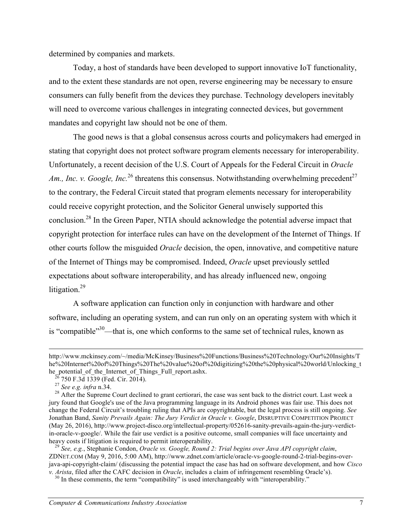determined by companies and markets.

Today, a host of standards have been developed to support innovative IoT functionality, and to the extent these standards are not open, reverse engineering may be necessary to ensure consumers can fully benefit from the devices they purchase. Technology developers inevitably will need to overcome various challenges in integrating connected devices, but government mandates and copyright law should not be one of them.

The good news is that a global consensus across courts and policymakers had emerged in stating that copyright does not protect software program elements necessary for interoperability. Unfortunately, a recent decision of the U.S. Court of Appeals for the Federal Circuit in *Oracle Am., Inc. v. Google, Inc.*<sup>26</sup> threatens this consensus. Notwithstanding overwhelming precedent<sup>27</sup> to the contrary, the Federal Circuit stated that program elements necessary for interoperability could receive copyright protection, and the Solicitor General unwisely supported this conclusion.28 In the Green Paper, NTIA should acknowledge the potential adverse impact that copyright protection for interface rules can have on the development of the Internet of Things. If other courts follow the misguided *Oracle* decision, the open, innovative, and competitive nature of the Internet of Things may be compromised. Indeed, *Oracle* upset previously settled expectations about software interoperability, and has already influenced new, ongoing litigation.<sup>29</sup>

A software application can function only in conjunction with hardware and other software, including an operating system, and can run only on an operating system with which it is "compatible"<sup>30</sup>—that is, one which conforms to the same set of technical rules, known as

 $\overline{a}$ 

http://www.mckinsey.com/~/media/McKinsey/Business%20Functions/Business%20Technology/Our%20Insights/T he%20Internet%20of%20Things%20The%20value%20of%20digitizing%20the%20physical%20world/Unlocking\_t

he potential of the Internet of Things Full report ashx.<br>
<sup>26</sup> 750 F.3d 1339 (Fed. Cir. 2014).<br>
<sup>27</sup> *See e.g. infra* n.34.<br>
<sup>28</sup> After the Supreme Court declined to grant certiorari, the case was sent back to the distric jury found that Google's use of the Java programming language in its Android phones was fair use. This does not change the Federal Circuit's troubling ruling that APIs are copyrightable, but the legal process is still ongoing. *See*  Jonathan Band, *Sanity Prevails Again: The Jury Verdict in Oracle v. Google*, DISRUPTIVE COMPETITION PROJECT (May 26, 2016), http://www.project-disco.org/intellectual-property/052616-sanity-prevails-again-the-jury-verdictin-oracle-v-google/. While the fair use verdict is a positive outcome, small companies will face uncertainty and heavy costs if litigation is required to permit interoperability. <sup>29</sup> *See, e.g.*, Stephanie Condon, *Oracle vs. Google, Round 2: Trial begins over Java API copyright claim*,

ZDNET.COM (May 9, 2016, 5:00 AM), http://www.zdnet.com/article/oracle-vs-google-round-2-trial-begins-overjava-api-copyright-claim/ (discussing the potential impact the case has had on software development, and how *Cisco v. Arista*, filed after the CAFC decision in *Oracle*, includes a claim of infringement resembling Oracle's). <sup>30</sup> In these comments, the term "compatibility" is used interchangeably with "interoperability."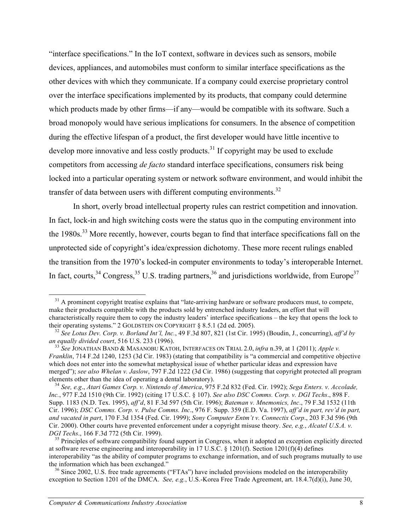"interface specifications." In the IoT context, software in devices such as sensors, mobile devices, appliances, and automobiles must conform to similar interface specifications as the other devices with which they communicate. If a company could exercise proprietary control over the interface specifications implemented by its products, that company could determine which products made by other firms—if any—would be compatible with its software. Such a broad monopoly would have serious implications for consumers. In the absence of competition during the effective lifespan of a product, the first developer would have little incentive to develop more innovative and less costly products.<sup>31</sup> If copyright may be used to exclude competitors from accessing *de facto* standard interface specifications, consumers risk being locked into a particular operating system or network software environment, and would inhibit the transfer of data between users with different computing environments.<sup>32</sup>

In short, overly broad intellectual property rules can restrict competition and innovation. In fact, lock-in and high switching costs were the status quo in the computing environment into the 1980s.<sup>33</sup> More recently, however, courts began to find that interface specifications fall on the unprotected side of copyright's idea/expression dichotomy. These more recent rulings enabled the transition from the 1970's locked-in computer environments to today's interoperable Internet. In fact, courts,  $34$  Congress,  $35$  U.S. trading partners,  $36$  and jurisdictions worldwide, from Europe<sup>37</sup>

 $31$  A prominent copyright treatise explains that "late-arriving hardware or software producers must, to compete, make their products compatible with the products sold by entrenched industry leaders, an effort that will characteristically require them to copy the industry leaders' interface specifications – the key that opens the lock to their operating systems." 2 GOLDSTEIN ON COPYRIGHT  $\S 8.5.1$  (2d ed. 2005).

<sup>&</sup>lt;sup>32</sup> See Lotus Dev. Corp. v. Borland Int'l, Inc., 49 F.3d 807, 821 (1st Cir. 1995) (Boudin, J., concurring), *aff'd by an equally divided court*, 516 U.S. 233 (1996).

*an equally divided court*, 516 U.S. 233 (1996). 33 *See* JONATHAN BAND & MASANOBU KATOH, INTERFACES ON TRIAL 2.0, *infra* n.39, at 1 (2011); *Apple v. Franklin*, 714 F.2d 1240, 1253 (3d Cir. 1983) (stating that compatibility is "a commercial and competitive objective which does not enter into the somewhat metaphysical issue of whether particular ideas and expression have merged"); *see also Whelan v. Jaslow*, 797 F.2d 1222 (3d Cir. 1986) (suggesting that copyright protected all program elements other than the idea of operating a dental laboratory).

<sup>&</sup>lt;sup>34</sup> See, e.g., *Atari Games Corp. v. Nintendo of America*, 975 F.2d 832 (Fed. Cir. 1992); *Sega Enters. v. Accolade*, *Inc.*, 977 F.2d 1510 (9th Cir. 1992) (citing 17 U.S.C. § 107). *See also DSC Comms. Corp. v. DGI Techs*., 898 F. Supp. 1183 (N.D. Tex. 1995), *aff'd*, 81 F.3d 597 (5th Cir. 1996); *Bateman v. Mnemonics, Inc*., 79 F.3d 1532 (11th Cir. 1996); *DSC Comms. Corp. v. Pulse Comms. Inc*., 976 F. Supp. 359 (E.D. Va. 1997), *aff'd in part, rev'd in part, and vacated in part*, 170 F.3d 1354 (Fed. Cir. 1999); *Sony Computer Entm't v. Connectix Corp*., 203 F.3d 596 (9th Cir. 2000). Other courts have prevented enforcement under a copyright misuse theory. *See, e.g.*, *Alcatel U.S.A. v. DGI Techs.*, 166 F.3d 772 (5th Cir. 1999).<br><sup>35</sup> Principles of software compatibility found support in Congress, when it adopted an exception explicitly directed

at software reverse engineering and interoperability in 17 U.S.C. § 1201(f). Section 1201(f)(4) defines interoperability "as the ability of computer programs to exchange information, and of such programs mutually to use the information which has been exchanged."

 $36$  Since 2002, U.S. free trade agreements ("FTAs") have included provisions modeled on the interoperability exception to Section 1201 of the DMCA. *See, e.g.*, U.S.-Korea Free Trade Agreement, art. 18.4.7(d)(i), June 30,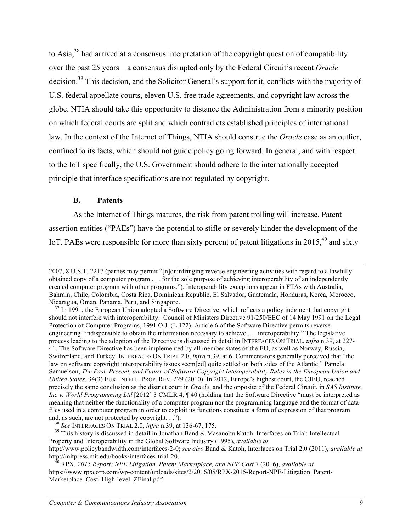to Asia,<sup>38</sup> had arrived at a consensus interpretation of the copyright question of compatibility over the past 25 years—a consensus disrupted only by the Federal Circuit's recent *Oracle*  decision.<sup>39</sup> This decision, and the Solicitor General's support for it, conflicts with the majority of U.S. federal appellate courts, eleven U.S. free trade agreements, and copyright law across the globe. NTIA should take this opportunity to distance the Administration from a minority position on which federal courts are split and which contradicts established principles of international law. In the context of the Internet of Things, NTIA should construe the *Oracle* case as an outlier, confined to its facts, which should not guide policy going forward. In general, and with respect to the IoT specifically, the U.S. Government should adhere to the internationally accepted principle that interface specifications are not regulated by copyright.

### **B. Patents**

As the Internet of Things matures, the risk from patent trolling will increase. Patent assertion entities ("PAEs") have the potential to stifle or severely hinder the development of the IoT. PAEs were responsible for more than sixty percent of patent litigations in 2015,<sup>40</sup> and sixty

and, as such, are not protected by copyright. . .").<br><sup>38</sup> See INTERFACES ON TRIAL 2.0, *infra* n.39, at 136-67, 175.<br><sup>39</sup> This history is discussed in detail in Jonathan Band & Masanobu Katoh, Interfaces on Trial: Intellec Property and Interoperability in the Global Software Industry (1995), *available at* http://www.policybandwidth.com/interfaces-2-0; *see also* Band & Katoh, Interfaces on Trial 2.0 (2011), *available at* http://mitpress.mit.edu/books/interfaces-trial-20. <sup>40</sup> RPX, *2015 Report: NPE Litigation, Patent Marketplace, and NPE Cost* 7 (2016), *available at*

<sup>2007, 8</sup> U.S.T. 2217 (parties may permit "[n]oninfringing reverse engineering activities with regard to a lawfully obtained copy of a computer program . . . for the sole purpose of achieving interoperability of an independently created computer program with other programs."). Interoperability exceptions appear in FTAs with Australia, Bahrain, Chile, Colombia, Costa Rica, Dominican Republic, El Salvador, Guatemala, Honduras, Korea, Morocco, Nicaragua, Oman, Panama, Peru, and Singapore.<br><sup>37</sup> In 1991, the European Union adopted a Software Directive, which reflects a policy judgment that copyright

should not interfere with interoperability. Council of Ministers Directive 91/250/EEC of 14 May 1991 on the Legal Protection of Computer Programs, 1991 O.J. (L 122). Article 6 of the Software Directive permits reverse engineering "indispensible to obtain the information necessary to achieve . . . interoperability." The legislative process leading to the adoption of the Directive is discussed in detail in INTERFACES ON TRIAL, *infra* n.39, at 227- 41. The Software Directive has been implemented by all member states of the EU, as well as Norway, Russia, Switzerland, and Turkey. INTERFACES ON TRIAL 2.0, *infra* n.39, at 6. Commentators generally perceived that "the law on software copyright interoperability issues seem[ed] quite settled on both sides of the Atlantic." Pamela Samuelson, *The Past, Present, and Future of Software Copyright Interoperability Rules in the European Union and United States*, 34(3) EUR. INTELL. PROP. REV. 229 (2010). In 2012, Europe's highest court, the CJEU, reached precisely the same conclusion as the district court in *Oracle*, and the opposite of the Federal Circuit, in *SAS Institute, Inc v. World Programming Ltd* [2012] 3 CMLR 4, ¶ 40 (holding that the Software Directive "must be interpreted as meaning that neither the functionality of a computer program nor the programming language and the format of data files used in a computer program in order to exploit its functions constitute a form of expression of that program

https://www.rpxcorp.com/wp-content/uploads/sites/2/2016/05/RPX-2015-Report-NPE-Litigation\_Patent-Marketplace\_Cost\_High-level\_ZFinal.pdf.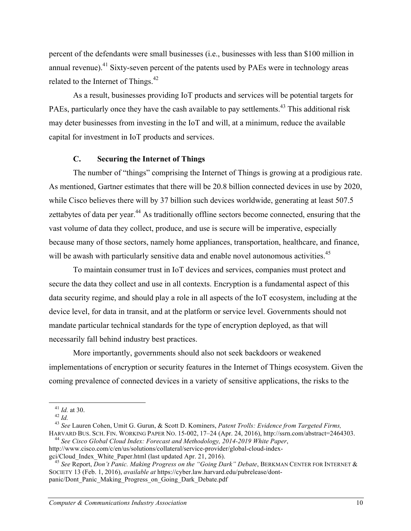percent of the defendants were small businesses (i.e., businesses with less than \$100 million in annual revenue).<sup>41</sup> Sixty-seven percent of the patents used by PAEs were in technology areas related to the Internet of Things. $42$ 

As a result, businesses providing IoT products and services will be potential targets for PAEs, particularly once they have the cash available to pay settlements.<sup>43</sup> This additional risk may deter businesses from investing in the IoT and will, at a minimum, reduce the available capital for investment in IoT products and services.

### **C. Securing the Internet of Things**

The number of "things" comprising the Internet of Things is growing at a prodigious rate. As mentioned, Gartner estimates that there will be 20.8 billion connected devices in use by 2020, while Cisco believes there will by 37 billion such devices worldwide, generating at least 507.5 zettabytes of data per year.<sup>44</sup> As traditionally offline sectors become connected, ensuring that the vast volume of data they collect, produce, and use is secure will be imperative, especially because many of those sectors, namely home appliances, transportation, healthcare, and finance, will be awash with particularly sensitive data and enable novel autonomous activities.<sup>45</sup>

To maintain consumer trust in IoT devices and services, companies must protect and secure the data they collect and use in all contexts. Encryption is a fundamental aspect of this data security regime, and should play a role in all aspects of the IoT ecosystem, including at the device level, for data in transit, and at the platform or service level. Governments should not mandate particular technical standards for the type of encryption deployed, as that will necessarily fall behind industry best practices.

More importantly, governments should also not seek backdoors or weakened implementations of encryption or security features in the Internet of Things ecosystem. Given the coming prevalence of connected devices in a variety of sensitive applications, the risks to the

<sup>41</sup> *Id.* at 30. <sup>42</sup> *Id.* <sup>43</sup> *See* Lauren Cohen, Umit G. Gurun, & Scott D. Kominers, *Patent Trolls: Evidence from Targeted Firms,* HARVARD BUS. SCH. FIN. WORKING PAPER NO. 15-002, 17–24 (Apr. 24, 2016), http://ssrn.com/abstract=2464303. 44 *See Cisco Global Cloud Index: Forecast and Methodology, 2014-2019 White Paper*,

http://www.cisco.com/c/en/us/solutions/collateral/service-provider/global-cloud-index-<br>gci/Cloud Index White Paper.html (last updated Apr. 21, 2016).

<sup>&</sup>lt;sup>45</sup> See Report, *Don't Panic. Making Progress on the "Going Dark" Debate*, BERKMAN CENTER FOR INTERNET & SOCIETY 13 (Feb. 1, 2016), *available at* https://cyber.law.harvard.edu/pubrelease/dontpanic/Dont\_Panic\_Making\_Progress\_on\_Going\_Dark\_Debate.pdf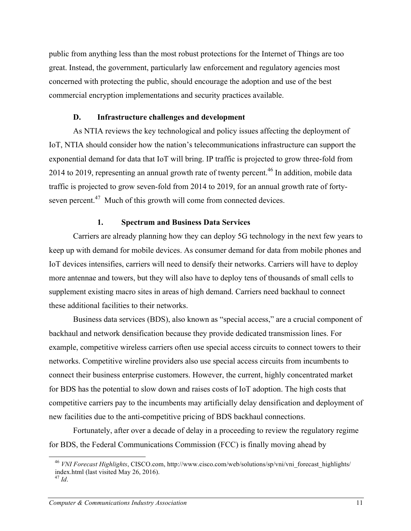public from anything less than the most robust protections for the Internet of Things are too great. Instead, the government, particularly law enforcement and regulatory agencies most concerned with protecting the public, should encourage the adoption and use of the best commercial encryption implementations and security practices available.

### **D. Infrastructure challenges and development**

As NTIA reviews the key technological and policy issues affecting the deployment of IoT, NTIA should consider how the nation's telecommunications infrastructure can support the exponential demand for data that IoT will bring. IP traffic is projected to grow three-fold from 2014 to 2019, representing an annual growth rate of twenty percent.<sup>46</sup> In addition, mobile data traffic is projected to grow seven-fold from 2014 to 2019, for an annual growth rate of fortyseven percent.<sup>47</sup> Much of this growth will come from connected devices.

#### **1. Spectrum and Business Data Services**

Carriers are already planning how they can deploy 5G technology in the next few years to keep up with demand for mobile devices. As consumer demand for data from mobile phones and IoT devices intensifies, carriers will need to densify their networks. Carriers will have to deploy more antennae and towers, but they will also have to deploy tens of thousands of small cells to supplement existing macro sites in areas of high demand. Carriers need backhaul to connect these additional facilities to their networks.

Business data services (BDS), also known as "special access," are a crucial component of backhaul and network densification because they provide dedicated transmission lines. For example, competitive wireless carriers often use special access circuits to connect towers to their networks. Competitive wireline providers also use special access circuits from incumbents to connect their business enterprise customers. However, the current, highly concentrated market for BDS has the potential to slow down and raises costs of IoT adoption. The high costs that competitive carriers pay to the incumbents may artificially delay densification and deployment of new facilities due to the anti-competitive pricing of BDS backhaul connections.

Fortunately, after over a decade of delay in a proceeding to review the regulatory regime for BDS, the Federal Communications Commission (FCC) is finally moving ahead by

<sup>&</sup>lt;sup>46</sup> *VNI Forecast Highlights*, CISCO.com, http://www.cisco.com/web/solutions/sp/vni/vni\_forecast\_highlights/ index.html (last visited May 26, 2016).

 $^{47}$  *Id.*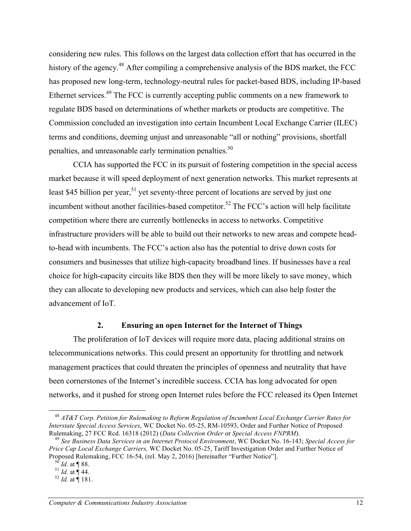considering new rules. This follows on the largest data collection effort that has occurred in the history of the agency.<sup>48</sup> After compiling a comprehensive analysis of the BDS market, the FCC has proposed new long-term, technology-neutral rules for packet-based BDS, including IP-based Ethernet services.<sup>49</sup> The FCC is currently accepting public comments on a new framework to regulate BDS based on determinations of whether markets or products are competitive. The Commission concluded an investigation into certain Incumbent Local Exchange Carrier (ILEC) terms and conditions, deeming unjust and unreasonable "all or nothing" provisions, shortfall penalties, and unreasonable early termination penalties.<sup>50</sup>

CCIA has supported the FCC in its pursuit of fostering competition in the special access market because it will speed deployment of next generation networks. This market represents at least \$45 billion per year,  $51$  yet seventy-three percent of locations are served by just one incumbent without another facilities-based competitor.<sup>52</sup> The FCC's action will help facilitate competition where there are currently bottlenecks in access to networks. Competitive infrastructure providers will be able to build out their networks to new areas and compete headto-head with incumbents. The FCC's action also has the potential to drive down costs for consumers and businesses that utilize high-capacity broadband lines. If businesses have a real choice for high-capacity circuits like BDS then they will be more likely to save money, which they can allocate to developing new products and services, which can also help foster the advancement of IoT.

### **2. Ensuring an open Internet for the Internet of Things**

The proliferation of IoT devices will require more data, placing additional strains on telecommunications networks. This could present an opportunity for throttling and network management practices that could threaten the principles of openness and neutrality that have been cornerstones of the Internet's incredible success. CCIA has long advocated for open networks, and it pushed for strong open Internet rules before the FCC released its Open Internet

<sup>48</sup> *AT&T Corp. Petition for Rulemaking to Reform Regulation of Incumbent Local Exchange Carrier Rates for Interstate Special Access Services*, WC Docket No. 05-25, RM-10593, Order and Further Notice of Proposed

<sup>&</sup>lt;sup>49</sup> See Business Data Services in an Internet Protocol Environment, WC Docket No. 16-143; Special Access for *Price Cap Local Exchange Carriers,* WC Docket No. 05-25, Tariff Investigation Order and Further Notice of Proposed Rulemaking, FCC 16-54, (rel. May 2, 2016) [hereinafter "Further Notice"].<br><sup>50</sup> *Id.* at ¶ 88.<br><sup>51</sup> *Id.* at ¶ 44.<br><sup>52</sup> *Id.* at ¶ 181.